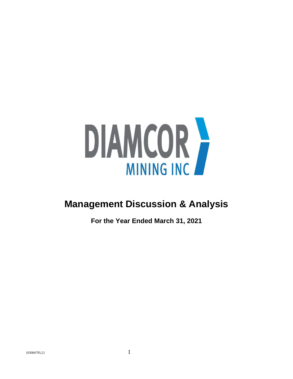

# **Management Discussion & Analysis**

**For the Year Ended March 31, 2021**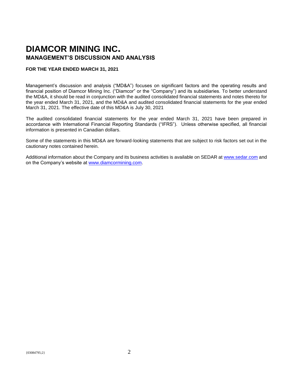# **DIAMCOR MINING INC. MANAGEMENT'S DISCUSSION AND ANALYSIS**

# **FOR THE YEAR ENDED MARCH 31, 2021**

Management's discussion and analysis ("MD&A") focuses on significant factors and the operating results and financial position of Diamcor Mining Inc. ("Diamcor" or the "Company") and its subsidiaries. To better understand the MD&A, it should be read in conjunction with the audited consolidated financial statements and notes thereto for the year ended March 31, 2021, and the MD&A and audited consolidated financial statements for the year ended March 31, 2021. The effective date of this MD&A is July 30, 2021

The audited consolidated financial statements for the year ended March 31, 2021 have been prepared in accordance with International Financial Reporting Standards ("IFRS"). Unless otherwise specified, all financial information is presented in Canadian dollars.

Some of the statements in this MD&A are forward-looking statements that are subject to risk factors set out in the cautionary notes contained herein.

Additional information about the Company and its business activities is available on SEDAR at [www.sedar.com](http://www.sedar.com/) and on the Company's website at [www.diamcormining.com.](http://www.diamcormining.com/)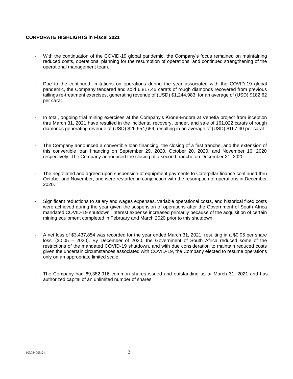# **CORPORATE HIGHLIGHTS in Fiscal 2021**

- With the continuation of the COVID-19 global pandemic, the Company's focus remained on maintaining reduced costs, operational planning for the resumption of operations, and continued strengthening of the operational management team.
- Due to the continued limitations on operations during the year associated with the COVID-19 global pandemic, the Company tendered and sold 6,817.45 carats of rough diamonds recovered from previous tailings re-treatment exercises, generating revenue of (USD) \$1,244,983, for an average of (USD) \$182.62 per carat.
- In total, ongoing trial mining exercises at the Company's Krone-Endora at Venetia project from inception thru March 31, 2021 have resulted in the incidental recovery, tender, and sale of 161,022 carats of rough diamonds generating revenue of (USD) \$26,954,654, resulting in an average of (USD) \$167.40 per carat.
- The Company announced a convertible loan financing, the closing of a first tranche, and the extension of this convertible loan financing on September 29, 2020, October 20, 2020, and November 16, 2020 respectively. The Company announced the closing of a second tranche on December 21, 2020.
- The negotiated and agreed upon suspension of equipment payments to Caterpillar finance continued thru October and November, and were restarted in conjunction with the resumption of operations in December 2020.
- Significant reductions to salary and wages expenses, variable operational costs, and historical fixed costs were achieved during the year given the suspension of operations after the Government of South Africa mandated COVID-19 shutdown. Interest expense increased primarily because of the acquisition of certain mining equipment completed in February and March 2020 prior to this shutdown.
- A net loss of \$3,437,854 was recorded for the year ended March 31, 2021, resulting in a \$0.05 per share loss. (\$0.05 – 2020). By December of 2020, the Government of South Africa reduced some of the restrictions of the mandated COVID-19 shutdown, and with due consideration to maintain reduced costs given the uncertain circumstances associated with COVID-19, the Company elected to resume operations only on an appropriate limited scale.
- The Company had 69,382,916 common shares issued and outstanding as at March 31, 2021 and has authorized capital of an unlimited number of shares.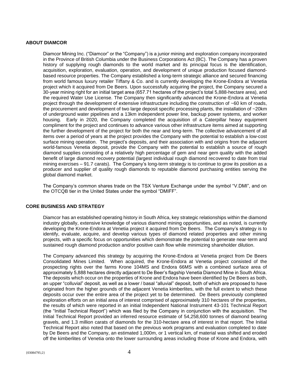#### **ABOUT DIAMCOR**

Diamcor Mining Inc. ("Diamcor" or the "Company") is a junior mining and exploration company incorporated in the Province of British Columbia under the Business Corporations Act (BC). The Company has a proven history of supplying rough diamonds to the world market and its principal focus is the identification, acquisition, exploration, evaluation, operation, and development of unique production focused diamondbased resource properties. The Company established a long-term strategic alliance and secured financing from world famous luxury retailer Tiffany & Co. and is currently developing the Krone-Endora at Venetia project which it acquired from De Beers. Upon successfully acquiring the project, the Company secured a 30-year mining right for an initial target area (657.71 hectares of the project's total 5,888-hectare area), and the required Water Use License. The Company then significantly advanced the Krone-Endora at Venetia project through the development of extensive infrastructure including the construction of ~60 km of roads, the procurement and development of two large deposit specific processing plants, the installation of ~20km of underground water pipelines and a 13km independent power line, backup power systems, and worker housing. Early in 2020, the Company completed the acquisition of a Caterpillar heavy equipment compliment for the project and continues to advance various other infrastructure items aimed at supporting the further development of the project for both the near and long-term. The collective advancement of all items over a period of years at the project provides the Company with the potential to establish a low-cost surface mining operation. The project's deposits, and their association with and origins from the adjacent world-famous Venetia deposit, provide the Company with the potential to establish a source of rough diamond supplies consisting of a relatively high percentage of gem and near gem quality with the added benefit of large diamond recovery potential (largest individual rough diamond recovered to date from trial mining exercises – 91.7 carats). The Company's long-term strategy is to continue to grow its position as a producer and supplier of quality rough diamonds to reputable diamond purchasing entities serving the global diamond market.

The Company's common shares trade on the TSX Venture Exchange under the symbol "V.DMI", and on the OTCQB tier in the United States under the symbol "DMIFF".

#### **CORE BUSINESS AND STRATEGY**

Diamcor has an established operating history in South Africa, key strategic relationships within the diamond industry globally, extensive knowledge of various diamond mining opportunities, and as noted, is currently developing the Krone-Endora at Venetia project it acquired from De Beers. The Company's strategy is to identify, evaluate, acquire, and develop various types of diamond related properties and other mining projects, with a specific focus on opportunities which demonstrate the potential to generate near-term and sustained rough diamond production and/or positive cash flow while minimizing shareholder dilution.

The Company advanced this strategy by acquiring the Krone-Endora at Venetia project from De Beers Consolidated Mines Limited. When acquired, the Krone-Endora at Venetia project consisted of the prospecting rights over the farms Krone 104MS and Endora 66MS with a combined surface area of approximately 5,888 hectares directly adjacent to De Beer's flagship Venetia Diamond Mine in South Africa. The deposits which occur on the properties of Krone and Endora have been identified by De Beers as both, an upper "colluvial" deposit, as well as a lower / basal "alluvial" deposit, both of which are proposed to have originated from the higher grounds of the adjacent Venetia kimberlites, with the full extent to which these deposits occur over the entire area of the project yet to be determined. De Beers previously completed exploration efforts on an initial area of interest comprised of approximately 310 hectares of the properties, the results of which were reported in an initial Independent National Instrument 43-101 Technical Report (the "Initial Technical Report") which was filed by the Company in conjunction with the acquisition. The Initial Technical Report provided an inferred resource estimate of 54,258,600 tonnes of diamond bearing gravels, and 1.3 million carats of diamonds for the 310-hectare area of interest in that report. The Initial Technical Report also noted that based on the previous work programs and evaluation completed to date by De Beers and the Company, an estimated 1,000m, or 1 vertical km, of material was shifted and eroded off the kimberlites of Venetia onto the lower surrounding areas including those of Krone and Endora, with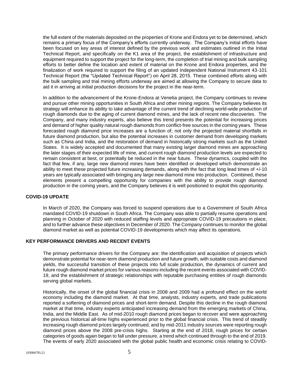the full extent of the materials deposited on the properties of Krone and Endora yet to be determined, which remains a primary focus of the Company's efforts currently underway. The Company's initial efforts have been focused on key areas of interest defined by the previous work and estimates outlined in the Initial Technical Report, and specifically on the K1 area of the project, the establishment of infrastructure and equipment required to support the project for the long-term, the completion of trial mining and bulk sampling efforts to better define the location and extent of material on the Krone and Endora properties, and the finalization of work required to support the filing of an updated Independent National Instrument 43-101 Technical Report (the "Updated Technical Report") on April 28, 2015. These combined efforts along with the bulk sampling and trial mining efforts underway are aimed at allowing the Company to secure data to aid it in arriving at initial production decisions for the project in the near-term.

In addition to the advancement of the Krone-Endora at Venetia project, the Company continues to review and pursue other mining opportunities in South Africa and other mining regions. The Company believes its strategy will enhance its ability to take advantage of the current trend of declining world-wide production of rough diamonds due to the aging of current diamond mines, and the lack of recent new discoveries. The Company, and many industry experts, also believe this trend presents the potential for increasing prices and demand of higher quality natural rough diamonds from conflict-free sources in the coming years. These forecasted rough diamond price increases are a function of; not only the projected material shortfalls in future diamond production, but also the potential increases in customer demand from developing markets such as China and India, and the restoration of demand in historically strong markets such as the United States. It is widely accepted and documented that many existing larger diamond mines are approaching the later stages of their expected life of mine, and current rough diamond production levels are expected to remain consistent at best, or potentially be reduced in the near future. These dynamics, coupled with the fact that few, if any, large new diamond mines have been identified or developed which demonstrate an ability to meet these projected future increasing demands, along with the fact that long lead times of +/-10 years are typically associated with bringing any large new diamond mine into production. Combined, these elements present a compelling opportunity for companies with the ability to provide rough diamond production in the coming years, and the Company believes it is well positioned to exploit this opportunity.

# **COVID-19 UPDATE**

In March of 2020, the Company was forced to suspend operations due to a Government of South Africa mandated COVID-19 shutdown in South Africa. The Company was able to partially resume operations and planning in October of 2020 with reduced staffing levels and appropriate COVID-19 precautions in place, and to further advance these objectives in December of 2020. The Company continues to monitor the global diamond market as well as potential COVID-19 developments which may affect its operations.

# **KEY PERFORMANCE DRIVERS AND RECENT EVENTS**

The primary performance drivers for the Company are: the identification and acquisition of projects which demonstrate potential for near-term diamond production and future growth, with suitable costs and diamond yields, the successful transition of these projects into full scale production, the dynamics of current and future rough diamond market prices for various reasons including the recent events associated with COVID-19, and the establishment of strategic relationships with reputable purchasing entities of rough diamonds serving global markets.

Historically, the onset of the global financial crisis in 2008 and 2009 had a profound effect on the world economy including the diamond market. At that time, analysts, industry experts, and trade publications reported a softening of diamond prices and short-term demand. Despite this decline in the rough diamond market at that time, industry experts anticipated increasing demand from the emerging markets of China, India, and the Middle East. As of mid-2010 rough diamond prices began to recover and were approaching the previous historical all-time highs experienced prior to the global financial crisis. This trend of steadily increasing rough diamond prices largely continued, and by mid-2011 industry sources were reporting rough diamond prices above the 2008 pre-crisis highs. Starting at the end of 2018, rough prices for certain categories of goods again began to fall under pressure, a trend which continued through to the end of 2019. The events of early 2020 associated with the global public health and economic crisis relating to COVID-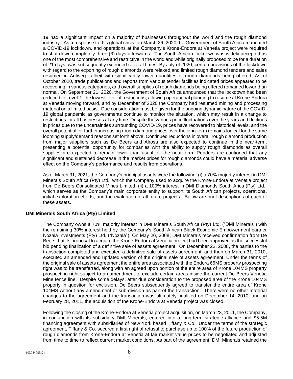19 had a significant impact on a majority of businesses throughout the world and the rough diamond industry. As a response to this global crisis, on March 26, 2020 the Government of South Africa mandated a COVID-19 lockdown, and operations at the Company's Krone-Endora at Venetia project were required to shut-down completely three (3) days afterwards. The South African lockdown was widely accepted as one of the most comprehensive and restrictive in the world and while originally proposed to be for a duration of 21 days, was subsequently extended several times. By July of 2020, certain provisions of the lockdown with regard to the exporting of rough diamonds were relaxed and limited rough diamond tenders and sales resumed in Antwerp, albeit with significantly lower quantities of rough diamonds being offered. As of October 2020, trade publications and reports from various tender facilities indicated prices appeared to be recovering in various categories, and overall supplies of rough diamonds being offered remained lower than normal. On September 21, 2020, the Government of South Africa announced that the lockdown had been reduced to Level-1, the lowest level of restrictions, allowing operational planning to resume at Krone-Endora at Venetia moving forward, and by December of 2020 the Company had resumed mining and processing material on a limited basis. Due consideration must be given for the ongoing dynamic nature of the COVID-19 global pandemic as governments continue to monitor the situation, which may result in a change to restrictions for all businesses at any time. Despite the various price fluctuations over the years and declines in prices due to the uncertainties surrounding COVID-19, prices have recovered to historical levels, and the overall potential for further increasing rough diamond prices over the long-term remains logical for the same looming supply/demand reasons set forth above. Continued reductions in overall rough diamond production from major suppliers such as De Beers and Alrosa are also expected to continue in the near-term, presenting a potential opportunity for companies with the ability to supply rough diamonds as overall supplies are expected to remain lower than usual for the near-term. Readers are cautioned that any significant and sustained decrease in the market prices for rough diamonds could have a material adverse effect on the Company's performance and results from operations**.**

As of March 31, 2021, the Company's principal assets were the following: (i) a 70% majority interest in DMI Minerals South Africa (Pty) Ltd., which the Company used to acquire the Krone-Endora at Venetia project from De Beers Consolidated Mines Limited, (ii) a 100% interest in DMI Diamonds South Arica (Pty) Ltd., which serves as the Company's main corporate entity to support its South African projects, operations, initial exploration efforts, and the evaluation of all future projects. Below are brief descriptions of each of these assets.

#### **DMI Minerals South Africa (Pty) Limited**

The Company owns a 70% majority interest in DMI Minerals South Africa (Pty) Ltd. ("DMI Minerals") with the remaining 30% interest held by the Company's South African Black Economic Empowerment partner Nozala Investments (Pty) Ltd. ("Nozala"). On May 26, 2008, DMI Minerals received confirmation from De Beers that its proposal to acquire the Krone-Endora at Venetia project had been approved as the successful bid pending finalization of a definitive sale of assets agreement. On December 22, 2008, the parties to the transaction completed and executed a definitive sale of assets agreement, and then on March 31, 2010, executed an amended and updated version of the original sale of assets agreement. Under the terms of the original sale of assets agreement the entire area associated with the Endora 66MS property prospecting right was to be transferred, along with an agreed upon portion of the entire area of Krone 104MS property prospecting right subject to an amendment to exclude certain areas inside the current De Beers Venetia Mine fence line. Despite some delays, after due consideration to the proposed area of the Krone 104MS property in question for exclusion, De Beers subsequently agreed to transfer the entire area of Krone 104MS without any amendment or sub-division as part of the transaction. There were no other material changes to the agreement and the transaction was ultimately finalized on December 14, 2010, and on February 28, 2011, the acquisition of the Krone-Endora at Venetia project was closed.

Following the closing of the Krone-Endora at Venetia project acquisition, on March 23, 2011, the Company, in conjunction with its subsidiary DMI Minerals, entered into a long-term strategic alliance and \$5.5M financing agreement with subsidiaries of New York based Tiffany & Co. Under the terms of the strategic agreement, Tiffany & Co. secured a first right of refusal to purchase up to 100% of the future production of rough diamonds from Krone-Endora at Venetia at fair market value prices to be negotiated and adjusted from time to time to reflect current market conditions. As part of the agreement, DMI Minerals retained the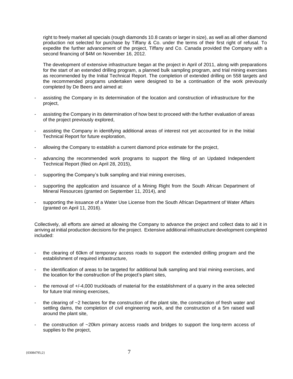right to freely market all specials (rough diamonds 10.8 carats or larger in size), as well as all other diamond production not selected for purchase by Tiffany & Co. under the terms of their first right of refusal. To expedite the further advancement of the project, Tiffany and Co. Canada provided the Company with a second financing of \$4M on November 16, 2012.

The development of extensive infrastructure began at the project in April of 2011, along with preparations for the start of an extended drilling program, a planned bulk sampling program, and trial mining exercises as recommended by the Initial Technical Report. The completion of extended drilling on 558 targets and the recommended programs undertaken were designed to be a continuation of the work previously completed by De Beers and aimed at:

- assisting the Company in its determination of the location and construction of infrastructure for the project,
- assisting the Company in its determination of how best to proceed with the further evaluation of areas of the project previously explored,
- assisting the Company in identifying additional areas of interest not yet accounted for in the Initial Technical Report for future exploration,
- allowing the Company to establish a current diamond price estimate for the project,
- advancing the recommended work programs to support the filing of an Updated Independent Technical Report (filed on April 28, 2015),
- supporting the Company's bulk sampling and trial mining exercises,
- supporting the application and issuance of a Mining Right from the South African Department of Mineral Resources (granted on September 11, 2014), and
- supporting the issuance of a Water Use License from the South African Department of Water Affairs (granted on April 11, 2016).

Collectively, all efforts are aimed at allowing the Company to advance the project and collect data to aid it in arriving at initial production decisions for the project. Extensive additional infrastructure development completed included:

- the clearing of 60km of temporary access roads to support the extended drilling program and the establishment of required infrastructure,
- the identification of areas to be targeted for additional bulk sampling and trial mining exercises, and the location for the construction of the project's plant sites,
- the removal of +/-4,000 truckloads of material for the establishment of a quarry in the area selected for future trial mining exercises,
- the clearing of  $\sim$  2 hectares for the construction of the plant site, the construction of fresh water and settling dams, the completion of civil engineering work, and the construction of a 5m raised wall around the plant site,
- the construction of ~20km primary access roads and bridges to support the long-term access of supplies to the project,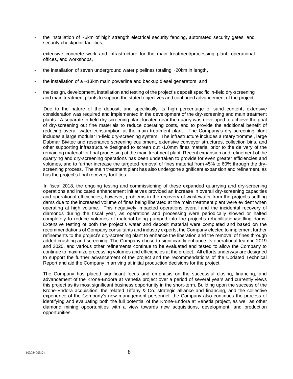- the installation of ~5km of high strength electrical security fencing, automated security gates, and security checkpoint facilities.
- extensive concrete work and infrastructure for the main treatment/processing plant, operational offices, and workshops,
- the installation of seven underground water pipelines totaling  $\sim$  20km in length,
- the installation of a  $\sim$ 13km main powerline and backup diesel generators, and
- the design, development, installation and testing of the project's deposit specific in-field dry-screening and main treatment plants to support the stated objectives and continued advancement of the project.

Due to the nature of the deposit, and specifically its high percentage of sand content, extensive consideration was required and implemented in the development of the dry-screening and main treatment plants. A separate in-field dry-screening plant located near the quarry was developed to achieve the goal of dry-screening out fine materials to reduce operating costs, and to provide the additional benefit of reducing overall water consumption at the main treatment plant. The Company's dry screening plant includes a large modular in-field dry-screening system. The infrastructure includes a rotary trommel, large Dabmar Bivitec and resonance screening equipment, extensive conveyor structures, collection bins, and other supporting infrastructure designed to screen out -1.0mm fines material prior to the delivery of the remaining material for final processing at the main treatment plant. Recent expansion and refinement of the quarrying and dry-screening operations has been undertaken to provide for even greater efficiencies and volumes, and to further increase the targeted removal of fines material from 45% to 60% through the dryscreening process. The main treatment plant has also undergone significant expansion and refinement, as has the project's final recovery facilities.

In fiscal 2018, the ongoing testing and commissioning of these expanded quarrying and dry-screening operations and indicated enhancement initiatives provided an increase in overall dry-screening capacities and operational efficiencies; however, problems in the recovery of wastewater from the project's settling dams due to the increased volume of fines being liberated at the main treatment plant were evident when operating at high volume. This negatively impacted operations overall and the incidental recovery of diamonds during the fiscal year, as operations and processing were periodically slowed or halted completely to reduce volumes of material being pumped into the project's rehabilitation/settling dams. Extensive testing of both the project's water and deposit material were completed and based on the recommendations of Company consultants and industry experts, the Company elected to implement further refinements to the project's dry-screening plant to enhance the liberation and the removal of fines through added crushing and screening. The Company chose to significantly enhance its operational team in 2019 and 2020, and various other refinements continue to be evaluated and tested to allow the Company to continue to maximize processing volumes and efficiencies at the project. All efforts underway are designed to support the further advancement of the project and the recommendations of the Updated Technical Report and aid the Company in arriving at initial production decisions for the project.

The Company has placed significant focus and emphasis on the successful closing, financing, and advancement of the Krone-Endora at Venetia project over a period of several years and currently views this project as its most significant business opportunity in the short-term. Building upon the success of the Krone-Endora acquisition, the related Tiffany & Co. strategic alliance and financing, and the collective experience of the Company's new management personnel, the Company also continues the process of identifying and evaluating both the full potential of the Krone-Endora at Venetia project, as well as other diamond mining opportunities with a view towards new acquisitions, development, and production opportunities.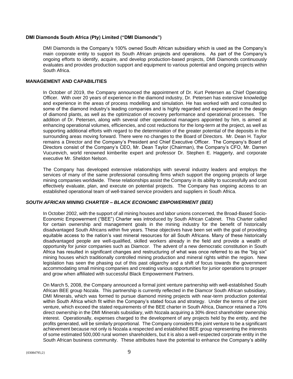#### **DMI Diamonds South Africa (Pty) Limited ("DMI Diamonds")**

DMI Diamonds is the Company's 100% owned South African subsidiary which is used as the Company's main corporate entity to support its South African projects and operations. As part of the Company's ongoing efforts to identify, acquire, and develop production-based projects, DMI Diamonds continuously evaluates and provides production support and equipment to various potential and ongoing projects within South Africa.

#### **MANAGEMENT AND CAPABILITIES**

In October of 2019, the Company announced the appointment of Dr. Kurt Petersen as Chief Operating Officer. With over 20 years of experience in the diamond industry, Dr. Petersen has extensive knowledge and experience in the areas of process modelling and simulation. He has worked with and consulted to some of the diamond industry's leading companies and is highly regarded and experienced in the design of diamond plants, as well as the optimization of recovery performance and operational processes. The addition of Dr. Petersen, along with several other operational managers appointed by him, is aimed at enhancing operational volumes, efficiencies, and cost reductions for the long-term at the project, as well as supporting additional efforts with regard to the determination of the greater potential of the deposits in the surrounding areas moving forward. There were no changes to the Board of Directors. Mr. Dean H. Taylor remains a Director and the Company's President and Chief Executive Officer. The Company's Board of Directors consist of the Company's CEO, Mr. Dean Taylor (Chairman), the Company's CFO, Mr. Darren Vucurevich, world renowned kimberlite expert and professor Dr. Stephen E. Haggerty, and corporate executive Mr. Sheldon Nelson.

The Company has developed extensive relationships with several industry leaders and employs the services of many of the same professional consulting firms which support the ongoing projects of large mining companies worldwide. These relationships assist the Company in its ability to successfully and cost effectively evaluate, plan, and execute on potential projects. The Company has ongoing access to an established operational team of well-trained service providers and suppliers in South Africa.

# *SOUTH AFRICAN MINING CHARTER – BLACK ECONOMIC EMPOWERMENT (BEE)*

In October 2002, with the support of all mining houses and labor unions concerned, the Broad-Based Socio-Economic Empowerment ("BEE") Charter was introduced by South African Cabinet. This Charter called for certain ownership and management goals in the mining industry for the benefit of historically disadvantaged South Africans within five years. These objectives have been set with the goal of providing equitable access to the nation's vast mineral resources for all South Africans. Many of these historically disadvantaged people are well-qualified, skilled workers already in the field and provide a wealth of opportunity for junior companies such as Diamcor. The advent of a new democratic constitution in South Africa has resulted in significant changes and restructuring of what was once referred to as the "big six" mining houses which traditionally controlled mining production and mineral rights within the region. New legislation has seen the phasing out of this past oligarchy and a shift of focus towards the government accommodating small mining companies and creating various opportunities for junior operations to prosper and grow when affiliated with successful Black Empowerment Partners.

On March 5, 2008, the Company announced a formal joint venture partnership with well-established South African BEE group Nozala. This partnership is currently reflected in the Diamcor South African subsidiary, DMI Minerals, which was formed to pursue diamond mining projects with near-term production potential within South Africa which fit within the Company's stated focus and strategy. Under the terms of the joint venture, which exceed the stated requirements of the BEE charter in South Africa, Diamcor retained a 70% direct ownership in the DMI Minerals subsidiary, with Nozala acquiring a 30% direct shareholder ownership interest. Operationally, expenses charged to the development of any projects held by the entity, and the profits generated, will be similarly proportional. The Company considers this joint venture to be a significant achievement because not only is Nozala a respected and established BEE group representing the interests of some estimated 500,000 rural women shareholders, but it is also a well-respected corporate entity in the South African business community. These attributes have the potential to enhance the Company's ability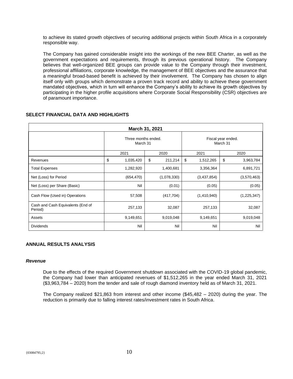to achieve its stated growth objectives of securing additional projects within South Africa in a corporately responsible way.

The Company has gained considerable insight into the workings of the new BEE Charter, as well as the government expectations and requirements, through its previous operational history. The Company believes that well-organized BEE groups can provide value to the Company through their investment, professional affiliations, corporate knowledge, the management of BEE objectives and the assurance that a meaningful broad-based benefit is achieved by their involvement. The Company has chosen to align itself only with groups which demonstrate a proven track record and ability to achieve these government mandated objectives, which in turn will enhance the Company's ability to achieve its growth objectives by participating in the higher profile acquisitions where Corporate Social Responsibility (CSR) objectives are of paramount importance.

| March 31, 2021                               |                                 |               |                                |                 |  |
|----------------------------------------------|---------------------------------|---------------|--------------------------------|-----------------|--|
|                                              | Three months ended.<br>March 31 |               | Fiscal year ended.<br>March 31 |                 |  |
|                                              | 2021                            | 2020          | 2021                           | 2020            |  |
| Revenues                                     | \$<br>1,035,420                 | \$<br>211,214 | \$<br>1,512,265                | \$<br>3,963,784 |  |
| <b>Total Expenses</b>                        | 1,282,920                       | 1,400,681     | 3,356,364                      | 6,891,721       |  |
| Net (Loss) for Period                        | (654, 470)                      | (1,078,330)   | (3,437,854)                    | (3,570,463)     |  |
| Net (Loss) per Share (Basic)                 | Nil                             | (0.01)        | (0.05)                         | (0.05)          |  |
| Cash Flow (Used in) Operations               | 57,508                          | (417, 704)    | (1,410,940)                    | (1,225,347)     |  |
| Cash and Cash Equivalents (End of<br>Period) | 257,133                         | 32,087        | 257,133                        | 32,087          |  |
| Assets                                       | 9,149,651                       | 9,019,048     | 9,149,651                      | 9,019,048       |  |
| <b>Dividends</b>                             | Nil                             | Nil           | Nil                            | Nil             |  |

# **SELECT FINANCIAL DATA AND HIGHLIGHTS**

# **ANNUAL RESULTS ANALYSIS**

#### *Revenue*

Due to the effects of the required Government shutdown associated with the COVID-19 global pandemic, the Company had lower than anticipated revenues of \$1,512,265 in the year ended March 31, 2021 (\$3,963,784 – 2020) from the tender and sale of rough diamond inventory held as of March 31, 2021.

The Company realized \$21,863 from interest and other income (\$45,482 – 2020) during the year. The reduction is primarily due to falling interest rates/investment rates in South Africa.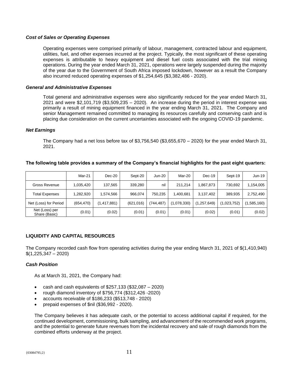#### *Cost of Sales or Operating Expenses*

Operating expenses were comprised primarily of labour, management, contracted labour and equipment, utilities, fuel, and other expenses incurred at the project. Typically, the most significant of these operating expenses is attributable to heavy equipment and diesel fuel costs associated with the trial mining operations. During the year ended March 31, 2021, operations were largely suspended during the majority of the year due to the Government of South Africa imposed lockdown, however as a result the Company also incurred reduced operating expenses of \$1,254,645 (\$3,382,486 - 2020).

#### *General and Administrative Expenses*

Total general and administrative expenses were also significantly reduced for the year ended March 31, 2021 and were \$2,101,719 (\$3,509,235 – 2020). An increase during the period in interest expense was primarily a result of mining equipment financed in the year ending March 31, 2021. The Company and senior Management remained committed to managing its resources carefully and conserving cash and is placing due consideration on the current uncertainties associated with the ongoing COVID-19 pandemic.

#### *Net Earnings*

The Company had a net loss before tax of \$3,756,540 (\$3,655,670 – 2020) for the year ended March 31, 2021.

|                                 | Mar-21     | $Dec-20$    | Sept-20    | <b>Jun-20</b> | Mar-20      | Dec-19      | Sept-19     | $Jun-19$   |
|---------------------------------|------------|-------------|------------|---------------|-------------|-------------|-------------|------------|
| <b>Gross Revenue</b>            | 1,035,420  | 137,565     | 339,280    | nil           | 211.214     | 1,867,873   | 730.692     | 1,154,005  |
| <b>Total Expenses</b>           | 1,282,920  | .574,566    | 966.074    | 750.235       | 1.400.681   | 3,137,402   | 389.935     | 2,752,490  |
| Net (Loss) for Period           | (654, 470) | (1,417,881) | (621, 016) | (744,487)     | (1,078,330) | (1,257,649) | (1,023,752) | 1,585,160) |
| Net (Loss) per<br>Share (Basic) | (0.01)     | (0.02)      | (0.01)     | (0.01)        | (0.01)      | (0.02)      | (0.01)      | (0.02)     |

#### **The following table provides a summary of the Company's financial highlights for the past eight quarters:**

# **LIQUIDITY AND CAPITAL RESOURCES**

The Company recorded cash flow from operating activities during the year ending March 31, 2021 of \$(1,410,940)  $$(1,225,347 - 2020)$ 

#### *Cash Position*

As at March 31, 2021, the Company had:

- cash and cash equivalents of  $$257,133$  ( $$32,087 2020$ )
- rough diamond inventory of \$756,774 (\$312,426 -2020)
- accounts receivable of \$186,233 (\$513,748 2020)
- prepaid expenses of \$nil (\$36,992 2020).

The Company believes it has adequate cash, or the potential to access additional capital if required, for the continued development, commissioning, bulk sampling, and advancement of the recommended work programs, and the potential to generate future revenues from the incidental recovery and sale of rough diamonds from the combined efforts underway at the project.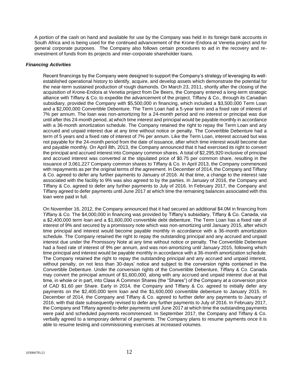A portion of the cash on hand and available for use by the Company was held in its foreign bank accounts in South Africa and is being used for the continued advancement of the Krone-Endora at Venetia project and for general corporate purposes. The Company also follows certain procedures to aid in the recovery and reinvestment of funds from its projects and inter-corporate shareholder loans.

# *Financing Activities*

Recent financings by the Company were designed to support the Company's strategy of leveraging its wellestablished operational history to identify, acquire, and develop assets which demonstrate the potential for the near-term sustained production of rough diamonds. On March 23, 2011, shortly after the closing of the acquisition of Krone-Endora at Venetia project from De Beers, the Company entered a long-term strategic alliance with Tiffany & Co. to expedite the advancement of the project. Tiffany & Co., through its Canadian subsidiary, provided the Company with \$5,500,000 in financing, which included a \$3,500,000 Term Loan and a \$2,000,000 Convertible Debenture. The Term Loan had a 5-year term and a fixed rate of interest of 7% per annum. The loan was non-amortizing for a 24-month period and no interest or principal was due until after this 24-month period, at which time interest and principal would be payable monthly in accordance with a 36-month amortization schedule. The Company retained the right to repay the Term Loan and any accrued and unpaid interest due at any time without notice or penalty. The Convertible Debenture had a term of 5 years and a fixed rate of interest of 7% per annum. Like the Term Loan, interest accrued but was not payable for the 24-month period from the date of issuance, after which time interest would become due and payable monthly. On April 8th, 2013, the Company announced that it had exercised its right to convert the principal and accrued interest into Company common shares. A total of \$2,295,920 inclusive of principal and accrued interest was converted at the stipulated price of \$0.75 per common share, resulting in the issuance of 3,061,227 Company common shares to Tiffany & Co. In April 2013, the Company commenced with repayments as per the original terms of the agreement. In December of 2014, the Company and Tiffany & Co. agreed to defer any further payments to January of 2016. At that time, a change to the interest rate associated with the facility to 9% was also agreed to by the parties. In January of 2016, the Company and Tiffany & Co. agreed to defer any further payments to July of 2016. In February 2017, the Company and Tiffany agreed to defer payments until June 2017 at which time the remaining balances associated with this loan were paid in full.

On November 16, 2012, the Company announced that it had secured an additional \$4.0M in financing from Tiffany & Co. The \$4,000,000 in financing was provided by Tiffany's subsidiary, Tiffany & Co. Canada, via a \$2,400,000 term loan and a \$1,600,000 convertible debt debenture. The Term Loan has a fixed rate of interest of 9% and secured by a promissory note which was non-amortizing until January 2015, after which time principal and interest would become payable monthly in accordance with a 36-month amortization schedule. The Company retained the right to repay the outstanding principal and any accrued and unpaid interest due under the Promissory Note at any time without notice or penalty. The Convertible Debenture had a fixed rate of interest of 9% per annum, and was non-amortizing until January 2015, following which time principal and interest would be payable monthly in accordance with a 36-month amortization schedule. The Company retained the right to repay the outstanding principal and any accrued and unpaid interest, without penalty, on not less than 30-days' notice and subject to the conversion rights contained in the Convertible Debenture. Under the conversion rights of the Convertible Debenture, Tiffany & Co. Canada may convert the principal amount of \$1,600,000, along with any accrued and unpaid interest due at that time, in whole or in part, into Class A Common Shares (the "Shares") of the Company at a conversion price of CAD \$1.60 per Share. Early in 2014, the Company and Tiffany & Co. agreed to initially defer any payments on the \$2,400,000 term loan and the \$1,600,000 convertible debenture to January 2015. In December of 2014, the Company and Tiffany & Co. agreed to further defer any payments to January of 2016, with that date subsequently revised to defer any further payments to July of 2016. In February 2017, the Company and Tiffany agreed to defer payments until June 2017 at which time the outstanding payments were paid and scheduled payments recommenced. In September 2017, the Company and Tiffany & Co. verbally agreed to a temporary deferral of payments. The Company plans to resume payments once it is able to resume testing and commissioning exercises at increased volumes.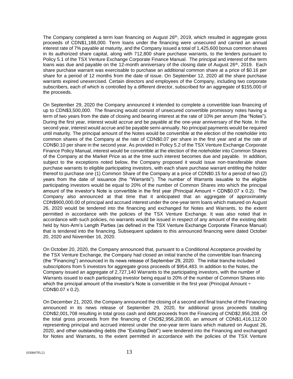The Company completed a term loan financing on August 26<sup>th</sup>, 2019, which resulted in aggregate gross proceeds of CDN\$1,188,000. Term loans under the financing were unsecured and carried an annual interest rate of 7% payable at maturity, and the Company issued a total of 1,425,600 bonus common shares in its authorized share capital, along with 712,800 share purchase warrants, to the lenders pursuant to Policy 5.1 of the TSX Venture Exchange Corporate Finance Manual. The principal and interest of the term loans was due and payable on the 12-month anniversary of the closing date of August  $26<sup>th</sup>$ , 2019. Each share purchase warrant was exercisable to purchase an additional common share at a price of \$0.16 per share for a period of 12 months from the date of issue. On September 12, 2020 all the share purchase warrants expired unexercised. Certain directors and employees of the Company, including two corporate subscribers, each of which is controlled by a different director, subscribed for an aggregate of \$155,000 of the proceeds.

On September 29, 2020 the Company announced it intended to complete a convertible loan financing of up to CDN\$3,500,000. The financing would consist of unsecured convertible promissory notes having a term of two years from the date of closing and bearing interest at the rate of 10% per annum (the "Notes"). During the first year, interest would accrue and be payable at the one-year anniversary of the Note. In the second year, interest would accrue and be payable semi-annually. No principal payments would be required until maturity. The principal amount of the Notes would be convertible at the election of the noteholder into common shares of the Company at the rate of CDN\$0.07 per share in the first year and at the rate of CDN\$0.10 per share in the second year. As provided in Policy 5.2 of the TSX Venture Exchange Corporate Finance Policy Manual, interest would be convertible at the election of the noteholder into Common Shares of the Company at the Market Price as at the time such interest becomes due and payable. In addition, subject to the exceptions noted below, the Company proposed it would issue non-transferable share purchase warrants to eligible participating investors, with each share purchase warrant entitling the holder thereof to purchase one (1) Common Share of the Company at a price of CDN\$0.15 for a period of two (2) years from the date of issuance (the "Warrants"). The number of Warrants issuable to the eligible participating investors would be equal to 20% of the number of Common Shares into which the principal amount of the investor's Note is convertible in the first year (Principal Amount ÷ CDN\$0.07 x 0.2). The Company also announced at that time that it anticipated that an aggregate of approximately CDN\$900,000.00 of principal and accrued interest under the one-year term loans which matured on August 26, 2020 would be tendered into the financing and exchanged for Notes and Warrants, to the extent permitted in accordance with the policies of the TSX Venture Exchange. It was also noted that in accordance with such policies, no warrants would be issued in respect of any amount of the existing debt held by Non-Arm's Length Parties (as defined in the TSX Venture Exchange Corporate Finance Manual) that is tendered into the financing. Subsequent updates to this announced financing were dated October 20, 2020 and November 16, 2020.

On October 20, 2020, the Company announced that, pursuant to a Conditional Acceptance provided by the TSX Venture Exchange, the Company had closed an initial tranche of the convertible loan financing (the "Financing") announced in its news release of September 29, 2020. The initial tranche included subscriptions from 5 investors for aggregate gross proceeds of \$954,483. In addition to the Notes, the Company issued an aggregate of 2,727,140 Warrants to the participating investors, with the number of Warrants issued to each participating investor being equal to 20% of the number of Common Shares into which the principal amount of the investor's Note is convertible in the first year (Principal Amount  $\div$ CDN\$0.07 x 0.2).

On December 21, 2020, the Company announced the closing of a second and final tranche of the Financing announced in its news release of September 29, 2020, for additional gross proceeds totalling CDN\$2,001,708 resulting in total gross cash and debt proceeds from the Financing of CND\$2,956,208. Of the total gross proceeds from the financing of CND\$2,956,208.00, an amount of CDN\$1,416,112.00 representing principal and accrued interest under the one-year term loans which matured on August 26, 2020, and other outstanding debts (the "Existing Debt") were tendered into the Financing and exchanged for Notes and Warrants, to the extent permitted in accordance with the policies of the TSX Venture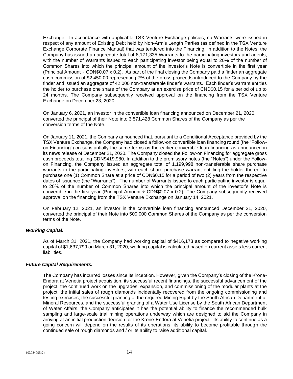Exchange. In accordance with applicable TSX Venture Exchange policies, no Warrants were issued in respect of any amount of Existing Debt held by Non-Arm's Length Parties (as defined in the TSX Venture Exchange Corporate Finance Manual) that was tendered into the Financing. In addition to the Notes, the Company has issued an aggregate total of 8,171,335 Warrants to the participating investors and agents, with the number of Warrants issued to each participating investor being equal to 20% of the number of Common Shares into which the principal amount of the investor's Note is convertible in the first year (Principal Amount  $\div$  CDN\$0.07 x 0.2). As part of the final closing the Company paid a finder an aggregate cash commission of \$2,450.00 representing 7% of the gross proceeds introduced to the Company by the finder and issued an aggregate of 42,000 non-transferable finder's warrants. Each finder's warrant entitles the holder to purchase one share of the Company at an exercise price of CND\$0.15 for a period of up to 24 months. The Company subsequently received approval on the financing from the TSX Venture Exchange on December 23, 2020.

On January 6, 2021, an investor in the convertible loan financing announced on December 21, 2020, converted the principal of their Note into 3,571,428 Common Shares of the Company as per the conversion terms of the Note.

On January 11, 2021, the Company announced that, pursuant to a Conditional Acceptance provided by the TSX Venture Exchange, the Company had closed a follow-on convertible loan financing round (the "Followon Financing") on substantially the same terms as the earlier convertible loan financing as announced in its news release of December 21, 2020. The Company closed the Follow-on Financing for aggregate gross cash proceeds totalling CDN\$419,980. In addition to the promissory notes (the "Notes") under the Followon Financing, the Company issued an aggregate total of 1,199,998 non-transferable share purchase warrants to the participating investors, with each share purchase warrant entitling the holder thereof to purchase one (1) Common Share at a price of CDN\$0.15 for a period of two (2) years from the respective dates of issuance (the "Warrants"). The number of Warrants issued to each participating investor is equal to 20% of the number of Common Shares into which the principal amount of the investor's Note is convertible in the first year (Principal Amount  $\div$  CDN\$0.07 x 0.2). The Company subsequently received approval on the financing from the TSX Venture Exchange on January 14, 2021.

On February 12, 2021, an investor in the convertible loan financing announced December 21, 2020, converted the principal of their Note into 500,000 Common Shares of the Company as per the conversion terms of the Note.

#### *Working Capital.*

As of March 31, 2021, the Company had working capital of \$416,173 as compared to negative working capital of \$1,637,799 on March 31, 2020, working capital is calculated based on current assets less current liabilities.

#### *Future Capital Requirements.*

The Company has incurred losses since its inception. However, given the Company's closing of the Krone-Endora at Venetia project acquisition, its successful recent financings, the successful advancement of the project, the continued work on the upgrades, expansion, and commissioning of the modular plants at the project, the initial sales of rough diamonds incidentally recovered from the ongoing commissioning and testing exercises, the successful granting of the required Mining Right by the South African Department of Mineral Resources, and the successful granting of a Water Use License by the South African Department of Water Affairs, the Company anticipates it has the potential ability to finance the recommended bulk sampling and large-scale trial mining operations underway which are designed to aid the Company in arriving at an initial production decision for the Krone-Endora at Venetia project. Its ability to continue as a going concern will depend on the results of its operations, its ability to become profitable through the continued sale of rough diamonds and / or its ability to raise additional capital.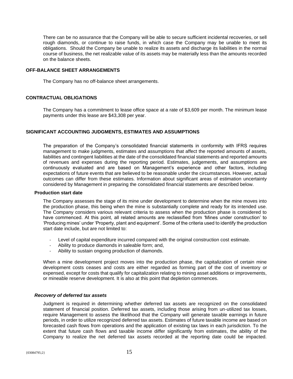There can be no assurance that the Company will be able to secure sufficient incidental recoveries, or sell rough diamonds, or continue to raise funds, in which case the Company may be unable to meet its obligations. Should the Company be unable to realize its assets and discharge its liabilities in the normal course of business, the net realizable value of its assets may be materially less than the amounts recorded on the balance sheets.

#### **OFF-BALANCE SHEET ARRANGEMENTS**

The Company has no off-balance sheet arrangements.

# **CONTRACTUAL OBLIGATIONS**

The Company has a commitment to lease office space at a rate of \$3,609 per month. The minimum lease payments under this lease are \$43,308 per year.

# **SIGNIFICANT ACCOUNTING JUDGMENTS, ESTIMATES AND ASSUMPTIONS**

The preparation of the Company's consolidated financial statements in conformity with IFRS requires management to make judgments, estimates and assumptions that affect the reported amounts of assets, liabilities and contingent liabilities at the date of the consolidated financial statements and reported amounts of revenues and expenses during the reporting period. Estimates, judgements, and assumptions are continuously evaluated and are based on Management's experience and other factors, including expectations of future events that are believed to be reasonable under the circumstances. However, actual outcomes can differ from these estimates. Information about significant areas of estimation uncertainty considered by Management in preparing the consolidated financial statements are described below.

#### **Production start date**

The Company assesses the stage of its mine under development to determine when the mine moves into the production phase, this being when the mine is substantially complete and ready for its intended use. The Company considers various relevant criteria to assess when the production phase is considered to have commenced. At this point, all related amounts are reclassified from 'Mines under construction' to 'Producing mines' under 'Property, plant and equipment'. Some of the criteria used to identify the production start date include, but are not limited to:

- Level of capital expenditure incurred compared with the original construction cost estimate.
- Ability to produce diamonds in saleable form; and,
- Ability to sustain ongoing production of diamonds.

When a mine development project moves into the production phase, the capitalization of certain mine development costs ceases and costs are either regarded as forming part of the cost of inventory or expensed, except for costs that qualify for capitalization relating to mining asset additions or improvements, or mineable reserve development. It is also at this point that depletion commences.

#### *Recovery of deferred tax assets*

Judgment is required in determining whether deferred tax assets are recognized on the consolidated statement of financial position. Deferred tax assets, including those arising from un-utilized tax losses, require Management to assess the likelihood that the Company will generate taxable earnings in future periods, in order to utilize recognized deferred tax assets. Estimates of future taxable income are based on forecasted cash flows from operations and the application of existing tax laws in each jurisdiction. To the extent that future cash flows and taxable income differ significantly from estimates, the ability of the Company to realize the net deferred tax assets recorded at the reporting date could be impacted.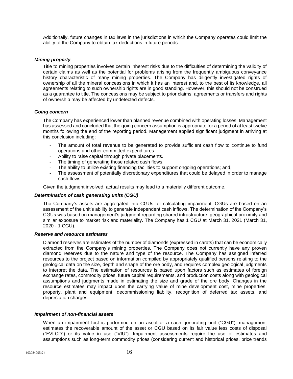Additionally, future changes in tax laws in the jurisdictions in which the Company operates could limit the ability of the Company to obtain tax deductions in future periods.

#### *Mining property*

Title to mining properties involves certain inherent risks due to the difficulties of determining the validity of certain claims as well as the potential for problems arising from the frequently ambiguous conveyance history characteristic of many mining properties. The Company has diligently investigated rights of ownership of all the mineral concessions in which it has an interest and, to the best of its knowledge, all agreements relating to such ownership rights are in good standing. However, this should not be construed as a guarantee to title. The concessions may be subject to prior claims, agreements or transfers and rights of ownership may be affected by undetected defects.

#### *Going concern*

The Company has experienced lower than planned revenue combined with operating losses. Management has assessed and concluded that the going concern assumption is appropriate for a period of at least twelve months following the end of the reporting period. Management applied significant judgment in arriving at this conclusion including:

- The amount of total revenue to be generated to provide sufficient cash flow to continue to fund operations and other committed expenditures.
- Ability to raise capital through private placements.
- The timing of generating those related cash flows.
- The ability to utilize existing financing facilities to support ongoing operations; and,
- The assessment of potentially discretionary expenditures that could be delayed in order to manage cash flows.

Given the judgment involved, actual results may lead to a materially different outcome.

#### *Determination of cash generating units (CGU)*

The Company's assets are aggregated into CGUs for calculating impairment. CGUs are based on an assessment of the unit's ability to generate independent cash inflows. The determination of the Company's CGUs was based on management's judgment regarding shared infrastructure, geographical proximity and similar exposure to market risk and materiality. The Company has 1 CGU at March 31, 2021 (March 31, 2020 - 1 CGU).

#### *Reserve and resource estimates*

Diamond reserves are estimates of the number of diamonds (expressed in carats) that can be economically extracted from the Company's mining properties. The Company does not currently have any proven diamond reserves due to the nature and type of the resource. The Company has assigned inferred resources to the project based on information compiled by appropriately qualified persons relating to the geological data on the size, depth and shape of the ore body, and requires complex geological judgments to interpret the data. The estimation of resources is based upon factors such as estimates of foreign exchange rates, commodity prices, future capital requirements, and production costs along with geological assumptions and judgments made in estimating the size and grade of the ore body. Changes in the resource estimates may impact upon the carrying value of mine development cost, mine properties, property, plant and equipment, decommissioning liability, recognition of deferred tax assets, and depreciation charges.

#### *Impairment of non-financial assets*

When an impairment test is performed on an asset or a cash generating unit ("CGU"), management estimates the recoverable amount of the asset or CGU based on its fair value less costs of disposal ("FVLCD") or its value in use ("VIU"). Impairment assessments require the use of estimates and assumptions such as long-term commodity prices (considering current and historical prices, price trends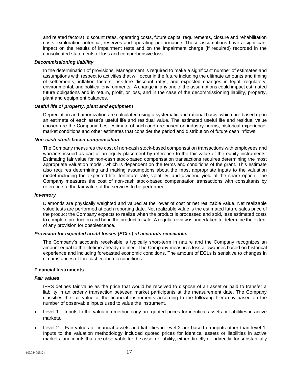and related factors), discount rates, operating costs, future capital requirements, closure and rehabilitation costs, exploration potential, reserves and operating performance. These assumptions have a significant impact on the results of impairment tests and on the impairment charge (if required) recorded in the consolidated statements of loss and comprehensive loss.

#### *Decommissioning liability*

In the determination of provisions, Management is required to make a significant number of estimates and assumptions with respect to activities that will occur in the future including the ultimate amounts and timing of settlements, inflation factors, risk-free discount rates, and expected changes in legal, regulatory, environmental, and political environments. A change in any one of the assumptions could impact estimated future obligations and in return, profit, or loss, and in the case of the decommissioning liability, property, plant and equipment balances.

#### *Useful life of property, plant and equipment*

Depreciation and amortization are calculated using a systematic and rational basis, which are based upon an estimate of each asset's useful life and residual value. The estimated useful life and residual value chosen are the Company' best estimate of such and are based on industry norms, historical experience, market conditions and other estimates that consider the period and distribution of future cash inflows.

#### *Non-cash stock-based compensation*

The Company measures the cost of non-cash stock-based compensation transactions with employees and warrants issued as part of an equity placement by reference to the fair value of the equity instruments. Estimating fair value for non-cash stock-based compensation transactions requires determining the most appropriate valuation model, which is dependent on the terms and conditions of the grant. This estimate also requires determining and making assumptions about the most appropriate inputs to the valuation model including the expected life, forfeiture rate, volatility, and dividend yield of the share option. The Company measures the cost of non-cash stock-based compensation transactions with consultants by reference to the fair value of the services to be performed.

#### *Inventory*

Diamonds are physically weighted and valued at the lower of cost or net realizable value. Net realizable value tests are performed at each reporting date. Net realizable value is the estimated future sales price of the product the Company expects to realize when the product is processed and sold, less estimated costs to complete production and bring the product to sale. A regular review is undertaken to determine the extent of any provision for obsolescence.

#### *Provision for expected credit losses (ECLs) of accounts receivable.*

The Company's accounts receivable is typically short-term in nature and the Company recognizes an amount equal to the lifetime already defined. The Company measures loss allowances based on historical experience and including forecasted economic conditions. The amount of ECLs is sensitive to changes in circumstances of forecast economic conditions.

#### **Financial Instruments**

#### *Fair values*

IFRS defines fair value as the price that would be received to dispose of an asset or paid to transfer a liability in an orderly transaction between market participants at the measurement date. The Company classifies the fair value of the financial instruments according to the following hierarchy based on the number of observable inputs used to value the instrument.

- Level 1 Inputs to the valuation methodology are quoted prices for identical assets or liabilities in active markets.
- Level 2 Fair values of financial assets and liabilities in level 2 are based on inputs other than level 1. Inputs to the valuation methodology included quoted prices for identical assets or liabilities in active markets, and inputs that are observable for the asset or liability, either directly or indirectly, for substantially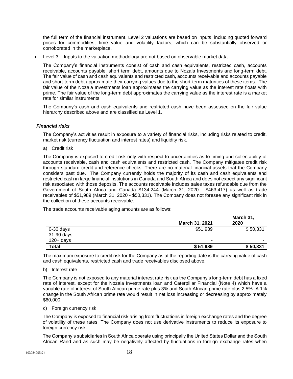the full term of the financial instrument. Level 2 valuations are based on inputs, including quoted forward prices for commodities, time value and volatility factors, which can be substantially observed or corroborated in the marketplace.

• Level 3 – Inputs to the valuation methodology are not based on observable market data.

The Company's financial instruments consist of cash and cash equivalents, restricted cash, accounts receivable, accounts payable, short term debt, amounts due to Nozala Investments and long-term debt. The fair value of cash and cash equivalents and restricted cash, accounts receivable and accounts payable and short-term debt approximate their carrying values due to the short-term maturities of these items. The fair value of the Nozala Investments loan approximates the carrying value as the interest rate floats with prime. The fair value of the long-term debt approximates the carrying value as the interest rate is a market rate for similar instruments.

The Company's cash and cash equivalents and restricted cash have been assessed on the fair value hierarchy described above and are classified as Level 1.

# *Financial risks*

The Company's activities result in exposure to a variety of financial risks, including risks related to credit, market risk (currency fluctuation and interest rates) and liquidity risk.

a) Credit risk

The Company is exposed to credit risk only with respect to uncertainties as to timing and collectability of accounts receivable, cash and cash equivalents and restricted cash. The Company mitigates credit risk through standard credit and reference checks. There are no material financial assets that the Company considers past due. The Company currently holds the majority of its cash and cash equivalents and restricted cash in large financial institutions in Canada and South Africa and does not expect any significant risk associated with those deposits. The accounts receivable includes sales taxes refundable due from the Government of South Africa and Canada \$134,244 (March 31, 2020 - \$463,417) as well as trade receivables of \$51,989 (March 31, 2020 - \$50,331). The Company does not foresee any significant risk in the collection of these accounts receivable.

The trade accounts receivable aging amounts are as follows:

|              | March 31, 2021 | March 31,<br>2020        |
|--------------|----------------|--------------------------|
| $0-30$ days  | \$51,989       | \$50,331                 |
| 31-90 days   | -              |                          |
| $120 + days$ | -              | $\overline{\phantom{0}}$ |
| <b>Total</b> | \$51,989       | \$50,331                 |

The maximum exposure to credit risk for the Company as at the reporting date is the carrying value of cash and cash equivalents, restricted cash and trade receivables disclosed above.

#### b) Interest rate

The Company is not exposed to any material interest rate risk as the Company's long-term debt has a fixed rate of interest, except for the Nozala Investments loan and Caterpillar Financial (Note 4) which have a variable rate of interest of South African prime rate plus 3% and South African prime rate plus 2.5%. A 1% change in the South African prime rate would result in net loss increasing or decreasing by approximately \$60,000.

#### c) Foreign currency risk

The Company is exposed to financial risk arising from fluctuations in foreign exchange rates and the degree of volatility of these rates. The Company does not use derivative instruments to reduce its exposure to foreign currency risk.

The Company's subsidiaries in South Africa operate using principally the United States Dollar and the South African Rand and as such may be negatively affected by fluctuations in foreign exchange rates when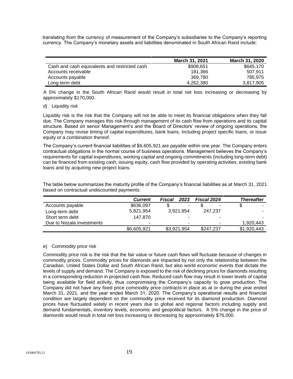translating from the currency of measurement of the Company's subsidiaries to the Company's reporting currency. The Company's monetary assets and liabilities denominated in South African Rand include:

|                                               | <b>March 31, 2021</b> | <b>March 31, 2020</b> |
|-----------------------------------------------|-----------------------|-----------------------|
| Cash and cash equivalents and restricted cash | \$908,651             | \$645,170             |
| Accounts receivable                           | 181.366               | 507.911               |
| Accounts payable                              | 369.780               | 785.975               |
| Long-term debt                                | 4.262.380             | 3,817,905             |

A 5% change in the South African Rand would result in total net loss increasing or decreasing by approximately \$170,000.

#### d) Liquidity risk

Liquidity risk is the risk that the Company will not be able to meet its financial obligations when they fall due. The Company manages this risk through management of its cash flow from operations and its capital structure. Based on senior Management's and the Board of Directors' review of ongoing operations, the Company may revise timing of capital expenditures, bank loans, including project specific loans, or issue equity or a combination thereof.

The Company's current financial liabilities of \$6,605,921 are payable within one year. The Company enters contractual obligations in the normal course of business operations. Management believes the Company's requirements for capital expenditures, working capital and ongoing commitments (including long-term debt) can be financed from existing cash, issuing equity, cash flow provided by operating activities, existing bank loans and by acquiring new project loans.

|                           | <b>Current</b> | Fiscal<br>2023       | Fiscal 2024 | <b>Thereafter</b>        |
|---------------------------|----------------|----------------------|-------------|--------------------------|
| Accounts payable          | \$636,097      | \$<br>$\blacksquare$ |             | \$<br>۰                  |
| Long-term debt            | 5,821,954      | 3,921,954            | 247.237     | $\overline{\phantom{a}}$ |
| Short term debt           | 147.870        |                      |             |                          |
| Due to Nozala investments |                | $\sim$               | -           | 1,920,443                |
|                           | \$6,605,921    | \$3,921,954          | \$247,237   | \$1,920,443              |

The table below summarizes the maturity profile of the Company's financial liabilities as at March 31, 2021 based on contractual undiscounted payments:

#### e) Commodity price risk

Commodity price risk is the risk that the fair value or future cash flows will fluctuate because of changes in commodity prices. Commodity prices for diamonds are impacted by not only the relationship between the Canadian, United States Dollar and South African Rand, but also world economic events that dictate the levels of supply and demand. The Company is exposed to the risk of declining prices for diamonds resulting in a corresponding reduction in projected cash flow. Reduced cash flow may result in lower levels of capital being available for field activity, thus compromising the Company's capacity to grow production. The Company did not have any fixed price commodity price contracts in place as at or during the year ended March 31, 2021, and the year ended March 31, 2020. The Company's operational results and financial condition are largely dependent on the commodity price received for its diamond production. Diamond prices have fluctuated widely in recent years due to global and regional factors including supply and demand fundamentals, inventory levels, economic and geopolitical factors. A 5% change in the price of diamonds would result in total net loss increasing or decreasing by approximately \$76,000.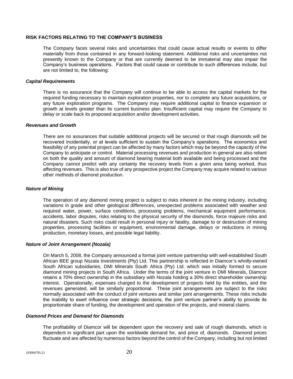#### **RISK FACTORS RELATING TO THE COMPANY'S BUSINESS**

The Company faces several risks and uncertainties that could cause actual results or events to differ materially from those contained in any forward-looking statement. Additional risks and uncertainties not presently known to the Company or that are currently deemed to be immaterial may also impair the Company's business operations. Factors that could cause or contribute to such differences include, but are not limited to, the following:

#### *Capital Requirements*

There is no assurance that the Company will continue to be able to access the capital markets for the required funding necessary to maintain exploration properties, nor to complete any future acquisitions, or any future exploration programs. The Company may require additional capital to finance expansion or growth at levels greater than its current business plan. Insufficient capital may require the Company to delay or scale back its proposed acquisition and/or development activities.

#### *Revenues and Growth*

There are no assurances that suitable additional projects will be secured or that rough diamonds will be recovered incidentally, or at levels sufficient to sustain the Company's operations. The economics and feasibility of any potential project can be affected by many factors which may be beyond the capacity of the Company to anticipate or control. Material processing revenues and production in general are also reliant on both the quality and amount of diamond bearing material both available and being processed and the Company cannot predict with any certainty the recovery levels from a given area being worked, thus affecting revenues. This is also true of any prospective project the Company may acquire related to various other methods of diamond production.

#### *Nature of Mining*

The operation of any diamond mining project is subject to risks inherent in the mining industry, including variations in grade and other geological differences, unexpected problems associated with weather and required water, power, surface conditions, processing problems, mechanical equipment performance, accidents, labor disputes, risks relating to the physical security of the diamonds, force majeure risks and natural disasters. Such risks could result in personal injury or fatality, damage to or destruction of mining properties, processing facilities or equipment, environmental damage, delays or reductions in mining production, monetary losses, and possible legal liability.

#### *Nature of Joint Arrangement (Nozala)*

On March 5, 2008, the Company announced a formal joint venture partnership with well-established South African BEE group Nozala Investments (Pty) Ltd. This partnership is reflected in Diamcor's wholly-owned South African subsidiaries, DMI Minerals South Africa (Pty) Ltd. which was initially formed to secure diamond mining projects in South Africa. Under the terms of the joint venture in DMI Minerals, Diamcor retains a 70% direct ownership in the subsidiary with Nozala holding a 30% direct shareholder ownership interest. Operationally, expenses charged to the development of projects held by the entities, and the revenues generated, will be similarly proportional. These joint arrangements are subject to the risks normally associated with the conduct of joint ventures and similar joint arrangements. These risks include the inability to exert influence over strategic decisions, the joint venture partner's ability to provide its proportionate share of funding, the development and operation of the projects, and mineral claims.

#### *Diamond Prices and Demand for Diamonds*

The profitability of Diamcor will be dependent upon the recovery and sale of rough diamonds, which is dependent in significant part upon the worldwide demand for, and price of, diamonds. Diamond prices fluctuate and are affected by numerous factors beyond the control of the Company, including but not limited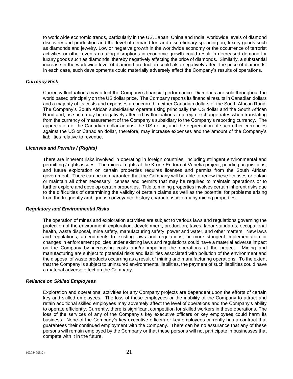to worldwide economic trends, particularly in the US, Japan, China and India, worldwide levels of diamond discovery and production and the level of demand for, and discretionary spending on, luxury goods such as diamonds and jewelry. Low or negative growth in the worldwide economy or the occurrence of terrorist activities or other events creating disruptions in economic growth could result in decreased demand for luxury goods such as diamonds, thereby negatively affecting the price of diamonds. Similarly, a substantial increase in the worldwide level of diamond production could also negatively affect the price of diamonds. In each case, such developments could materially adversely affect the Company's results of operations.

#### *Currency Risk*

Currency fluctuations may affect the Company's financial performance. Diamonds are sold throughout the world based principally on the US dollar price. The Company reports its financial results in Canadian dollars and a majority of its costs and expenses are incurred in either Canadian dollars or the South African Rand. The Company's South African subsidiaries operate using principally the US dollar and the South African Rand and, as such, may be negatively affected by fluctuations in foreign exchange rates when translating from the currency of measurement of the Company's subsidiary to the Company's reporting currency. The appreciation of the Canadian dollar against the US dollar, and the depreciation of such other currencies against the US or Canadian dollar, therefore, may increase expenses and the amount of the Company's liabilities relative to revenue.

#### *Licenses and Permits / (Rights)*

There are inherent risks involved in operating in foreign countries, including stringent environmental and permitting / rights issues. The mineral rights at the Krone-Endora at Venetia project, pending acquisitions, and future exploration on certain properties requires licenses and permits from the South African government. There can be no guarantee that the Company will be able to renew these licenses or obtain or maintain all other necessary licenses and permits that may be required to maintain operations or to further explore and develop certain properties. Title to mining properties involves certain inherent risks due to the difficulties of determining the validity of certain claims as well as the potential for problems arising from the frequently ambiguous conveyance history characteristic of many mining properties.

#### *Regulatory and Environmental Risks*

The operation of mines and exploration activities are subject to various laws and regulations governing the protection of the environment, exploration, development, production, taxes, labor standards, occupational health, waste disposal, mine safety, manufacturing safety, power and water, and other matters. New laws and regulations, amendments to existing laws and regulations, or more stringent implementation or changes in enforcement policies under existing laws and regulations could have a material adverse impact on the Company by increasing costs and/or impairing the operations at the project. Mining and manufacturing are subject to potential risks and liabilities associated with pollution of the environment and the disposal of waste products occurring as a result of mining and manufacturing operations. To the extent that the Company is subject to uninsured environmental liabilities, the payment of such liabilities could have a material adverse effect on the Company.

#### *Reliance on Skilled Employees*

Exploration and operational activities for any Company projects are dependent upon the efforts of certain key and skilled employees. The loss of these employees or the inability of the Company to attract and retain additional skilled employees may adversely affect the level of operations and the Company's ability to operate efficiently. Currently, there is significant competition for skilled workers in these operations. The loss of the services of any of the Company's key executive officers or key employees could harm its business. None of the Company's key executive officers or key employees currently has a contract that guarantees their continued employment with the Company. There can be no assurance that any of these persons will remain employed by the Company or that these persons will not participate in businesses that compete with it in the future.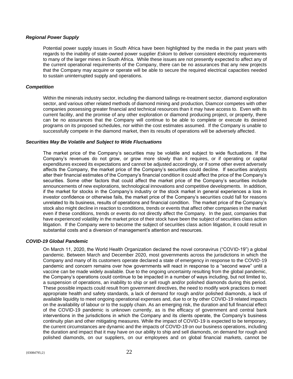#### *Regional Power Supply*

Potential power supply issues in South Africa have been highlighted by the media in the past years with regards to the inability of state-owned power supplier *Eskom* to deliver consistent electricity requirements to many of the larger mines in South Africa. While these issues are not presently expected to affect any of the current operational requirements of the Company, there can be no assurances that any new projects that the Company may acquire or operate will be able to secure the required electrical capacities needed to sustain uninterrupted supply and operations.

#### *Competition*

Within the minerals industry sector, including the diamond tailings re-treatment sector, diamond exploration sector, and various other related methods of diamond mining and production, Diamcor competes with other companies possessing greater financial and technical resources than it may have access to. Even with its current facility, and the promise of any other exploration or diamond producing project, or property, there can be no assurances that the Company will continue to be able to complete or execute its desired programs on its proposed schedules, nor within the cost estimates assumed. If the Company is unable to successfully compete in the diamond market, then its results of operations will be adversely affected.

#### *Securities May Be Volatile and Subject to Wide Fluctuations*

The market price of the Company's securities may be volatile and subject to wide fluctuations. If the Company's revenues do not grow, or grow more slowly than it requires, or if operating or capital expenditures exceed its expectations and cannot be adjusted accordingly, or if some other event adversely affects the Company, the market price of the Company's securities could decline. If securities analysts alter their financial estimates of the Company's financial condition it could affect the price of the Company's securities. Some other factors that could affect the market price of the Company's securities include announcements of new explorations, technological innovations and competitive developments. In addition, if the market for stocks in the Company's industry or the stock market in general experiences a loss in investor confidence or otherwise fails, the market price of the Company's securities could fall for reasons unrelated to its business, results of operations and financial condition. The market price of the Company's stock also might decline in reaction to conditions, trends or events that affect other companies in the market even if these conditions, trends or events do not directly affect the Company. In the past, companies that have experienced volatility in the market price of their stock have been the subject of securities class action litigation. If the Company were to become the subject of securities class action litigation, it could result in substantial costs and a diversion of management's attention and resources.

#### *COVID-19 Global Pandemic*

On March 11, 2020, the World Health Organization declared the novel coronavirus ("COVID-19") a global pandemic. Between March and December 2020, most governments across the jurisdictions in which the Company and many of its customers operate declared a state of emergency in response to the COVID-19 pandemic and concern remains over how governments will react in response to a "second wave" until a vaccine can be made widely available. Due to the ongoing uncertainty resulting from the global pandemic, the Company's operations could continue to be impacted in a number of ways including, but not limited to, a suspension of operations, an inability to ship or sell rough and/or polished diamonds during this period. These possible impacts could result from government directives, the need to modify work practices to meet appropriate health and safety standards, a lack of demand for rough and/or polished diamonds, a lack of available liquidity to meet ongoing operational expenses and, due to or by other COVID-19 related impacts on the availability of labour or to the supply chain. As an emerging risk, the duration and full financial effect of the COVID-19 pandemic is unknown currently, as is the efficacy of government and central bank interventions in the jurisdictions in which the Company and its clients operate, the Company's business continuity plan and other mitigating measures. While the impact of COVID-19 is expected to be temporary, the current circumstances are dynamic and the impacts of COVID-19 on our business operations, including the duration and impact that it may have on our ability to ship and sell diamonds, on demand for rough and polished diamonds, on our suppliers, on our employees and on global financial markets, cannot be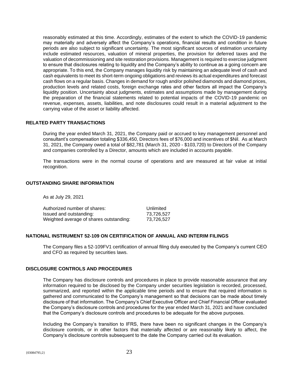reasonably estimated at this time. Accordingly, estimates of the extent to which the COVID-19 pandemic may materially and adversely affect the Company's operations, financial results and condition in future periods are also subject to significant uncertainty. The most significant sources of estimation uncertainty include estimated resources, valuation of mineral properties, the provision for deferred taxes and the valuation of decommissioning and site restoration provisions. Management is required to exercise judgment to ensure that disclosures relating to liquidity and the Company's ability to continue as a going concern are appropriate. To this end, the Company manages liquidity risk by maintaining an adequate level of cash and cash equivalents to meet its short-term ongoing obligations and reviews its actual expenditures and forecast cash flows on a regular basis. Changes in demand for rough and/or polished diamonds and diamond prices, production levels and related costs, foreign exchange rates and other factors all impact the Company's liquidity position. Uncertainty about judgments, estimates and assumptions made by management during the preparation of the financial statements related to potential impacts of the COVID-19 pandemic on revenue, expenses, assets, liabilities, and note disclosures could result in a material adjustment to the carrying value of the asset or liability affected.

# **RELATED PARTY TRANSACTIONS**

During the year ended March 31, 2021, the Company paid or accrued to key management personnel and consultant's compensation totaling \$336,450, Directors fees of \$76,000 and incentives of \$Nil. As at March 31, 2021, the Company owed a total of \$82,781 (March 31, 2020 - \$103,720) to Directors of the Company and companies controlled by a Director, amounts which are included in accounts payable.

The transactions were in the normal course of operations and are measured at fair value at initial recognition.

#### **OUTSTANDING SHARE INFORMATION**

As at July 29, 2021

| Authorized number of shares:            | Unlimited  |
|-----------------------------------------|------------|
| Issued and outstanding:                 | 73.726.527 |
| Weighted average of shares outstanding: | 73.726.527 |

#### **NATIONAL INSTRUMENT 52-109 ON CERTIFICATION OF ANNUAL AND INTERIM FILINGS**

The Company files a 52-109FV1 certification of annual filing duly executed by the Company's current CEO and CFO as required by securities laws.

#### **DISCLOSURE CONTROLS AND PROCEDURES**

The Company has disclosure controls and procedures in place to provide reasonable assurance that any information required to be disclosed by the Company under securities legislation is recorded, processed, summarized, and reported within the applicable time periods and to ensure that required information is gathered and communicated to the Company's management so that decisions can be made about timely disclosure of that information. The Company's Chief Executive Officer and Chief Financial Officer evaluated the Company's disclosure controls and procedures for the year ended March 31, 2021 and have concluded that the Company's disclosure controls and procedures to be adequate for the above purposes.

Including the Company's transition to IFRS, there have been no significant changes in the Company's disclosure controls, or in other factors that materially affected or are reasonably likely to affect, the Company's disclosure controls subsequent to the date the Company carried out its evaluation.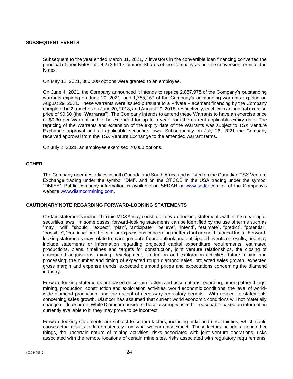#### **SUBSEQUENT EVENTS**

Subsequent to the year ended March 31, 2021, 7 investors in the convertible loan financing converted the principal of their Notes into 4,273,611 Common Shares of the Company as per the conversion terms of the Notes.

On May 12, 2021, 300,000 options were granted to an employee.

On June 4, 2021, the Company announced it intends to reprice 2,857,975 of the Company's outstanding warrants expiring on June 20, 2021, and 1,755,157 of the Company's outstanding warrants expiring on August 29, 2021. These warrants were issued pursuant to a Private Placement financing by the Company completed in 2 tranches on June 20, 2018, and August 29, 2018, respectively, each with an original exercise price of \$0.60 (the "**Warrants**"). The Company intends to amend these Warrants to have an exercise price of \$0.30 per Warrant and to be extended for up to a year from the current applicable expiry date. The repricing of the Warrants and extension of the expiry date of the Warrants was subject to TSX Venture Exchange approval and all applicable securities laws. Subsequently on July 26, 2021 the Company received approval from the TSX Venture Exchange to the amended warrant terms.

On July 2, 2021, an employee exercised 70,000 options.

# **OTHER**

The Company operates offices in both Canada and South Africa and is listed on the Canadian TSX Venture Exchange trading under the symbol "DMI", and on the OTCQB in the USA trading under the symbol "DMIFF". Public company information is available on SEDAR at [www.sedar.com](http://www.sedar.com/) or at the Company's website [www.diamcormining.com.](http://www.diamcormining.com/)

# **CAUTIONARY NOTE REGARDING FORWARD-LOOKING STATEMENTS**

Certain statements included in this MD&A may constitute forward-looking statements within the meaning of securities laws. In some cases, forward-looking statements can be identified by the use of terms such as "may", "will", "should", "expect", "plan", "anticipate", "believe", "intend", "estimate", "predict", "potential", "possible", "continue" or other similar expressions concerning matters that are not historical facts. Forwardlooking statements may relate to management's future outlook and anticipated events or results, and may include statements or information regarding projected capital expenditure requirements, estimated productions, plans, timelines and targets for construction, joint venture relationships, the closing of anticipated acquisitions, mining, development, production and exploration activities, future mining and processing, the number and timing of expected rough diamond sales, projected sales growth, expected gross margin and expense trends, expected diamond prices and expectations concerning the diamond industry.

Forward-looking statements are based on certain factors and assumptions regarding, among other things, mining, production, construction and exploration activities, world economic conditions, the level of worldwide diamond production, and the receipt of necessary regulatory permits. With respect to statements concerning sales growth, Diamcor has assumed that current world economic conditions will not materially change or deteriorate. While Diamcor considers these assumptions to be reasonable based on information currently available to it, they may prove to be incorrect.

Forward-looking statements are subject to certain factors, including risks and uncertainties, which could cause actual results to differ materially from what we currently expect. These factors include, among other things, the uncertain nature of mining activities, risks associated with joint venture operations, risks associated with the remote locations of certain mine sites, risks associated with regulatory requirements,